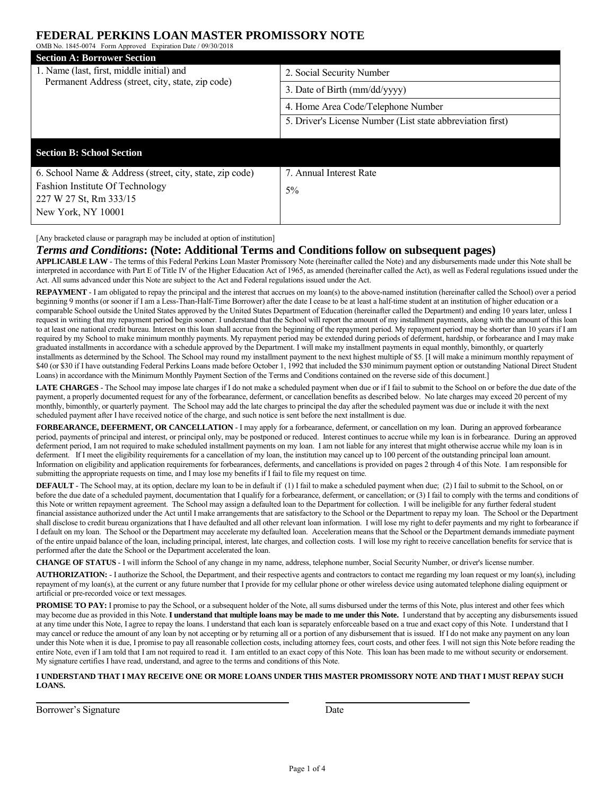## **FEDERAL PERKINS LOAN MASTER PROMISSORY NOTE**

OMB No. 1845-0074 Form Approved Expiration Date / 09/30/2018 **Section A: Borrower Section** 1. Name (last, first, middle initial) and Name (last, first, middle initial) and<br>
Permanent Address (street, city, state, zip code) 3. Date of Birth (mm/dd/yyyy) 4. Home Area Code/Telephone Number 5. Driver's License Number (List state abbreviation first) **Section B: School Section** 6. School Name & Address (street, city, state, zip code) Fashion Institute Of Technology 227 W 27 St, Rm 333/15 New York, NY 10001 7. Annual Interest Rate 5%

[Any bracketed clause or paragraph may be included at option of institution]

### *Terms and Conditions***: (Note: Additional Terms and Conditions follow on subsequent pages)**

**APPLICABLE LAW** - The terms of this Federal Perkins Loan Master Promissory Note (hereinafter called the Note) and any disbursements made under this Note shall be interpreted in accordance with Part E of Title IV of the Higher Education Act of 1965, as amended (hereinafter called the Act), as well as Federal regulations issued under the Act. All sums advanced under this Note are subject to the Act and Federal regulations issued under the Act.

**REPAYMENT** - I am obligated to repay the principal and the interest that accrues on my loan(s) to the above-named institution (hereinafter called the School) over a period beginning 9 months (or sooner if I am a Less-Than-Half-Time Borrower) after the date I cease to be at least a half-time student at an institution of higher education or a comparable School outside the United States approved by the United States Department of Education (hereinafter called the Department) and ending 10 years later, unless I request in writing that my repayment period begin sooner. I understand that the School will report the amount of my installment payments, along with the amount of this loan to at least one national credit bureau. Interest on this loan shall accrue from the beginning of the repayment period. My repayment period may be shorter than 10 years if I am required by my School to make minimum monthly payments. My repayment period may be extended during periods of deferment, hardship, or forbearance and I may make graduated installments in accordance with a schedule approved by the Department. I will make my installment payments in equal monthly, bimonthly, or quarterly installments as determined by the School. The School may round my installment payment to the next highest multiple of \$5. [I will make a minimum monthly repayment of \$40 (or \$30 if I have outstanding Federal Perkins Loans made before October 1, 1992 that included the \$30 minimum payment option or outstanding National Direct Student Loans) in accordance with the Minimum Monthly Payment Section of the Terms and Conditions contained on the reverse side of this document.]

LATE CHARGES - The School may impose late charges if I do not make a scheduled payment when due or if I fail to submit to the School on or before the due date of the payment, a properly documented request for any of the forbearance, deferment, or cancellation benefits as described below. No late charges may exceed 20 percent of my monthly, bimonthly, or quarterly payment. The School may add the late charges to principal the day after the scheduled payment was due or include it with the next scheduled payment after I have received notice of the charge, and such notice is sent before the next installment is due.

**FORBEARANCE, DEFERMENT, OR CANCELLATION** - I may apply for a forbearance, deferment, or cancellation on my loan. During an approved forbearance period, payments of principal and interest, or principal only, may be postponed or reduced. Interest continues to accrue while my loan is in forbearance. During an approved deferment period, I am not required to make scheduled installment payments on my loan. I am not liable for any interest that might otherwise accrue while my loan is in deferment. If I meet the eligibility requirements for a cancellation of my loan, the institution may cancel up to 100 percent of the outstanding principal loan amount. Information on eligibility and application requirements for forbearances, deferments, and cancellations is provided on pages 2 through 4 of this Note. I am responsible for submitting the appropriate requests on time, and I may lose my benefits if I fail to file my request on time.

**DEFAULT** - The School may, at its option, declare my loan to be in default if (1) I fail to make a scheduled payment when due; (2) I fail to submit to the School, on or before the due date of a scheduled payment, documentation that I qualify for a forbearance, deferment, or cancellation; or (3) I fail to comply with the terms and conditions of this Note or written repayment agreement. The School may assign a defaulted loan to the Department for collection. I will be ineligible for any further federal student financial assistance authorized under the Act until I make arrangements that are satisfactory to the School or the Department to repay my loan. The School or the Department shall disclose to credit bureau organizations that I have defaulted and all other relevant loan information. I will lose my right to defer payments and my right to forbearance if I default on my loan. The School or the Department may accelerate my defaulted loan. Acceleration means that the School or the Department demands immediate payment of the entire unpaid balance of the loan, including principal, interest, late charges, and collection costs. I will lose my right to receive cancellation benefits for service that is performed after the date the School or the Department accelerated the loan.

**CHANGE OF STATUS** - I will inform the School of any change in my name, address, telephone number, Social Security Number, or driver's license number.

**AUTHORIZATION:** - I authorize the School, the Department, and their respective agents and contractors to contact me regarding my loan request or my loan(s), including repayment of my loan(s), at the current or any future number that I provide for my cellular phone or other wireless device using automated telephone dialing equipment or artificial or pre-recorded voice or text messages.

PROMISE TO PAY: I promise to pay the School, or a subsequent holder of the Note, all sums disbursed under the terms of this Note, plus interest and other fees which may become due as provided in this Note. **I understand that multiple loans may be made to me under this Note.** I understand that by accepting any disbursements issued at any time under this Note, I agree to repay the loans. I understand that each loan is separately enforceable based on a true and exact copy of this Note. I understand that I may cancel or reduce the amount of any loan by not accepting or by returning all or a portion of any disbursement that is issued. If I do not make any payment on any loan under this Note when it is due, I promise to pay all reasonable collection costs, including attorney fees, court costs, and other fees. I will not sign this Note before reading the entire Note, even if I am told that I am not required to read it. I am entitled to an exact copy of this Note. This loan has been made to me without security or endorsement. My signature certifies I have read, understand, and agree to the terms and conditions of this Note.

### **I UNDERSTAND THAT I MAY RECEIVE ONE OR MORE LOANS UNDER THIS MASTER PROMISSORY NOTE AND THAT I MUST REPAY SUCH LOANS.**

Borrower's Signature Date Date Date

 $\overline{a}$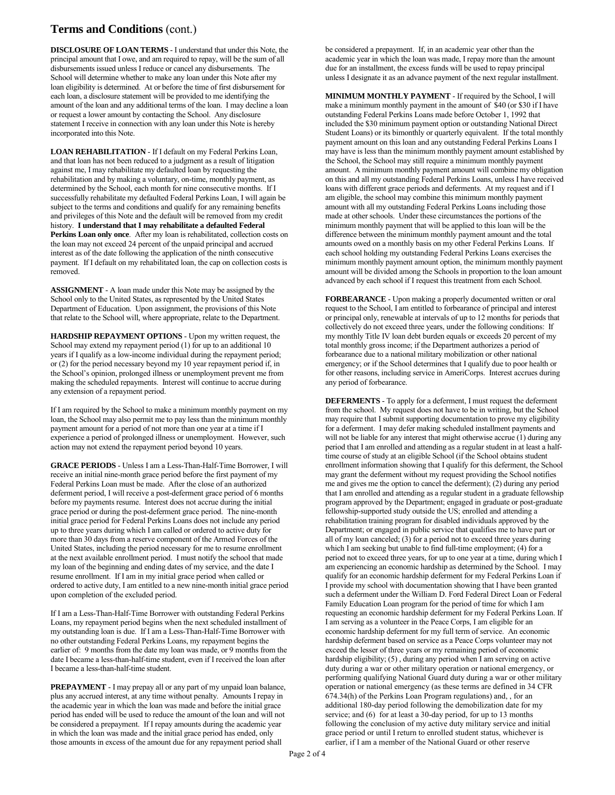# **Terms and Conditions** (cont.)

**DISCLOSURE OF LOAN TERMS** - I understand that under this Note, the principal amount that I owe, and am required to repay, will be the sum of all disbursements issued unless I reduce or cancel any disbursements. The School will determine whether to make any loan under this Note after my loan eligibility is determined. At or before the time of first disbursement for each loan, a disclosure statement will be provided to me identifying the amount of the loan and any additional terms of the loan. I may decline a loan or request a lower amount by contacting the School. Any disclosure statement I receive in connection with any loan under this Note is hereby incorporated into this Note.

**LOAN REHABILITATION** - If I default on my Federal Perkins Loan, and that loan has not been reduced to a judgment as a result of litigation against me, I may rehabilitate my defaulted loan by requesting the rehabilitation and by making a voluntary, on-time, monthly payment, as determined by the School, each month for nine consecutive months. If I successfully rehabilitate my defaulted Federal Perkins Loan, I will again be subject to the terms and conditions and qualify for any remaining benefits and privileges of this Note and the default will be removed from my credit history. **I understand that I may rehabilitate a defaulted Federal Perkins Loan only once**. After my loan is rehabilitated, collection costs on the loan may not exceed 24 percent of the unpaid principal and accrued interest as of the date following the application of the ninth consecutive payment. If I default on my rehabilitated loan, the cap on collection costs is removed.

**ASSIGNMENT** - A loan made under this Note may be assigned by the School only to the United States, as represented by the United States Department of Education. Upon assignment, the provisions of this Note that relate to the School will, where appropriate, relate to the Department.

**HARDSHIP REPAYMENT OPTIONS** - Upon my written request, the School may extend my repayment period (1) for up to an additional 10 years if I qualify as a low-income individual during the repayment period; or (2) for the period necessary beyond my 10 year repayment period if, in the School's opinion, prolonged illness or unemployment prevent me from making the scheduled repayments. Interest will continue to accrue during any extension of a repayment period.

If I am required by the School to make a minimum monthly payment on my loan, the School may also permit me to pay less than the minimum monthly payment amount for a period of not more than one year at a time if I experience a period of prolonged illness or unemployment. However, such action may not extend the repayment period beyond 10 years.

**GRACE PERIODS** - Unless I am a Less-Than-Half-Time Borrower, I will receive an initial nine-month grace period before the first payment of my Federal Perkins Loan must be made. After the close of an authorized deferment period, I will receive a post-deferment grace period of 6 months before my payments resume. Interest does not accrue during the initial grace period or during the post-deferment grace period. The nine-month initial grace period for Federal Perkins Loans does not include any period up to three years during which I am called or ordered to active duty for more than 30 days from a reserve component of the Armed Forces of the United States, including the period necessary for me to resume enrollment at the next available enrollment period. I must notify the school that made my loan of the beginning and ending dates of my service, and the date I resume enrollment. If I am in my initial grace period when called or ordered to active duty, I am entitled to a new nine-month initial grace period upon completion of the excluded period.

If I am a Less-Than-Half-Time Borrower with outstanding Federal Perkins Loans, my repayment period begins when the next scheduled installment of my outstanding loan is due. If I am a Less-Than-Half-Time Borrower with no other outstanding Federal Perkins Loans, my repayment begins the earlier of: 9 months from the date my loan was made, or 9 months from the date I became a less-than-half-time student, even if I received the loan after I became a less-than-half-time student.

**PREPAYMENT** - I may prepay all or any part of my unpaid loan balance, plus any accrued interest, at any time without penalty. Amounts I repay in the academic year in which the loan was made and before the initial grace period has ended will be used to reduce the amount of the loan and will not be considered a prepayment. If I repay amounts during the academic year in which the loan was made and the initial grace period has ended, only those amounts in excess of the amount due for any repayment period shall

be considered a prepayment. If, in an academic year other than the academic year in which the loan was made, I repay more than the amount due for an installment, the excess funds will be used to repay principal unless I designate it as an advance payment of the next regular installment.

**MINIMUM MONTHLY PAYMENT** - If required by the School, I will make a minimum monthly payment in the amount of \$40 (or \$30 if I have outstanding Federal Perkins Loans made before October 1, 1992 that included the \$30 minimum payment option or outstanding National Direct Student Loans) or its bimonthly or quarterly equivalent. If the total monthly payment amount on this loan and any outstanding Federal Perkins Loans I may have is less than the minimum monthly payment amount established by the School, the School may still require a minimum monthly payment amount. A minimum monthly payment amount will combine my obligation on this and all my outstanding Federal Perkins Loans, unless I have received loans with different grace periods and deferments. At my request and if I am eligible, the school may combine this minimum monthly payment amount with all my outstanding Federal Perkins Loans including those made at other schools. Under these circumstances the portions of the minimum monthly payment that will be applied to this loan will be the difference between the minimum monthly payment amount and the total amounts owed on a monthly basis on my other Federal Perkins Loans. If each school holding my outstanding Federal Perkins Loans exercises the minimum monthly payment amount option, the minimum monthly payment amount will be divided among the Schools in proportion to the loan amount advanced by each school if I request this treatment from each School.

**FORBEARANCE** - Upon making a properly documented written or oral request to the School, I am entitled to forbearance of principal and interest or principal only, renewable at intervals of up to 12 months for periods that collectively do not exceed three years, under the following conditions: If my monthly Title IV loan debt burden equals or exceeds 20 percent of my total monthly gross income; if the Department authorizes a period of forbearance due to a national military mobilization or other national emergency; or if the School determines that I qualify due to poor health or for other reasons, including service in AmeriCorps. Interest accrues during any period of forbearance.

**DEFERMENTS** - To apply for a deferment, I must request the deferment from the school. My request does not have to be in writing, but the School may require that I submit supporting documentation to prove my eligibility for a deferment. I may defer making scheduled installment payments and will not be liable for any interest that might otherwise accrue (1) during any period that I am enrolled and attending as a regular student in at least a halftime course of study at an eligible School (if the School obtains student enrollment information showing that I qualify for this deferment, the School may grant the deferment without my request providing the School notifies me and gives me the option to cancel the deferment); (2) during any period that I am enrolled and attending as a regular student in a graduate fellowship program approved by the Department; engaged in graduate or post-graduate fellowship-supported study outside the US; enrolled and attending a rehabilitation training program for disabled individuals approved by the Department; or engaged in public service that qualifies me to have part or all of my loan canceled; (3) for a period not to exceed three years during which I am seeking but unable to find full-time employment; (4) for a period not to exceed three years, for up to one year at a time, during which I am experiencing an economic hardship as determined by the School. I may qualify for an economic hardship deferment for my Federal Perkins Loan if I provide my school with documentation showing that I have been granted such a deferment under the William D. Ford Federal Direct Loan or Federal Family Education Loan program for the period of time for which I am requesting an economic hardship deferment for my Federal Perkins Loan. If I am serving as a volunteer in the Peace Corps, I am eligible for an economic hardship deferment for my full term of service. An economic hardship deferment based on service as a Peace Corps volunteer may not exceed the lesser of three years or my remaining period of economic hardship eligibility; (5) , during any period when I am serving on active duty during a war or other military operation or national emergency, or performing qualifying National Guard duty during a war or other military operation or national emergency (as these terms are defined in 34 CFR 674.34(h) of the Perkins Loan Program regulations) and, , for an additional 180-day period following the demobilization date for my service; and (6) for at least a 30-day period, for up to 13 months following the conclusion of my active duty military service and initial grace period or until I return to enrolled student status, whichever is earlier, if I am a member of the National Guard or other reserve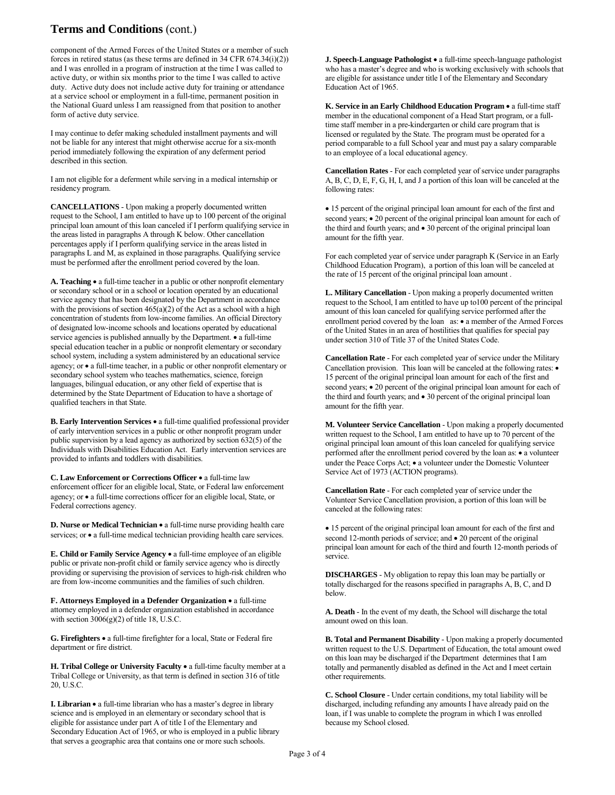# **Terms and Conditions** (cont.)

component of the Armed Forces of the United States or a member of such forces in retired status (as these terms are defined in 34 CFR 674.34(i)(2)) and I was enrolled in a program of instruction at the time I was called to active duty, or within six months prior to the time I was called to active duty. Active duty does not include active duty for training or attendance at a service school or employment in a full-time, permanent position in the National Guard unless I am reassigned from that position to another form of active duty service.

I may continue to defer making scheduled installment payments and will not be liable for any interest that might otherwise accrue for a six-month period immediately following the expiration of any deferment period described in this section.

I am not eligible for a deferment while serving in a medical internship or residency program.

**CANCELLATIONS** - Upon making a properly documented written request to the School, I am entitled to have up to 100 percent of the original principal loan amount of this loan canceled if I perform qualifying service in the areas listed in paragraphs A through K below. Other cancellation percentages apply if I perform qualifying service in the areas listed in paragraphs L and M, as explained in those paragraphs. Qualifying service must be performed after the enrollment period covered by the loan.

**A. Teaching** • a full-time teacher in a public or other nonprofit elementary or secondary school or in a school or location operated by an educational service agency that has been designated by the Department in accordance with the provisions of section  $465(a)(2)$  of the Act as a school with a high concentration of students from low-income families. An official Directory of designated low-income schools and locations operated by educational service agencies is published annually by the Department. • a full-time special education teacher in a public or nonprofit elementary or secondary school system, including a system administered by an educational service agency; or • a full-time teacher, in a public or other nonprofit elementary or secondary school system who teaches mathematics, science, foreign languages, bilingual education, or any other field of expertise that is determined by the State Department of Education to have a shortage of qualified teachers in that State.

**B. Early Intervention Services** • a full-time qualified professional provider of early intervention services in a public or other nonprofit program under public supervision by a lead agency as authorized by section 632(5) of the Individuals with Disabilities Education Act. Early intervention services are provided to infants and toddlers with disabilities.

**C. Law Enforcement or Corrections Officer** • a full-time law enforcement officer for an eligible local, State, or Federal law enforcement agency; or • a full-time corrections officer for an eligible local, State, or Federal corrections agency.

**D. Nurse or Medical Technician** • a full-time nurse providing health care services; or  $\bullet$  a full-time medical technician providing health care services.

**E. Child or Family Service Agency** • a full-time employee of an eligible public or private non-profit child or family service agency who is directly providing or supervising the provision of services to high-risk children who are from low-income communities and the families of such children.

**F. Attorneys Employed in a Defender Organization** • a full-time attorney employed in a defender organization established in accordance with section 3006(g)(2) of title 18, U.S.C.

**G. Firefighters** • a full-time firefighter for a local, State or Federal fire department or fire district.

**H. Tribal College or University Faculty** • a full-time faculty member at a Tribal College or University, as that term is defined in section 316 of title 20, U.S.C.

**I. Librarian** • a full-time librarian who has a master's degree in library science and is employed in an elementary or secondary school that is eligible for assistance under part A of title I of the Elementary and Secondary Education Act of 1965, or who is employed in a public library that serves a geographic area that contains one or more such schools.

**J. Speech-Language Pathologist** • a full-time speech-language pathologist who has a master's degree and who is working exclusively with schools that are eligible for assistance under title I of the Elementary and Secondary Education Act of 1965.

**K. Service in an Early Childhood Education Program** • a full-time staff member in the educational component of a Head Start program, or a fulltime staff member in a pre-kindergarten or child care program that is licensed or regulated by the State. The program must be operated for a period comparable to a full School year and must pay a salary comparable to an employee of a local educational agency.

**Cancellation Rates** - For each completed year of service under paragraphs A, B, C, D, E, F, G, H, I, and J a portion of this loan will be canceled at the following rates:

• 15 percent of the original principal loan amount for each of the first and second years; • 20 percent of the original principal loan amount for each of the third and fourth years; and • 30 percent of the original principal loan amount for the fifth year.

For each completed year of service under paragraph K (Service in an Early Childhood Education Program), a portion of this loan will be canceled at the rate of 15 percent of the original principal loan amount .

**L. Military Cancellation** - Upon making a properly documented written request to the School, I am entitled to have up to100 percent of the principal amount of this loan canceled for qualifying service performed after the enrollment period covered by the loan as: • a member of the Armed Forces of the United States in an area of hostilities that qualifies for special pay under section 310 of Title 37 of the United States Code.

**Cancellation Rate** - For each completed year of service under the Military Cancellation provision. This loan will be canceled at the following rates: • 15 percent of the original principal loan amount for each of the first and second years;  $\bullet$  20 percent of the original principal loan amount for each of the third and fourth years; and • 30 percent of the original principal loan amount for the fifth year.

**M. Volunteer Service Cancellation** - Upon making a properly documented written request to the School, I am entitled to have up to 70 percent of the original principal loan amount of this loan canceled for qualifying service performed after the enrollment period covered by the loan as: • a volunteer under the Peace Corps Act; • a volunteer under the Domestic Volunteer Service Act of 1973 (ACTION programs).

**Cancellation Rate** - For each completed year of service under the Volunteer Service Cancellation provision, a portion of this loan will be canceled at the following rates:

• 15 percent of the original principal loan amount for each of the first and second 12-month periods of service; and  $\bullet$  20 percent of the original principal loan amount for each of the third and fourth 12-month periods of service.

**DISCHARGES** - My obligation to repay this loan may be partially or totally discharged for the reasons specified in paragraphs A, B, C, and D below.

**A. Death** - In the event of my death, the School will discharge the total amount owed on this loan.

**B. Total and Permanent Disability** - Upon making a properly documented written request to the U.S. Department of Education, the total amount owed on this loan may be discharged if the Department determines that I am totally and permanently disabled as defined in the Act and I meet certain other requirements.

**C. School Closure** - Under certain conditions, my total liability will be discharged, including refunding any amounts I have already paid on the loan, if I was unable to complete the program in which I was enrolled because my School closed.